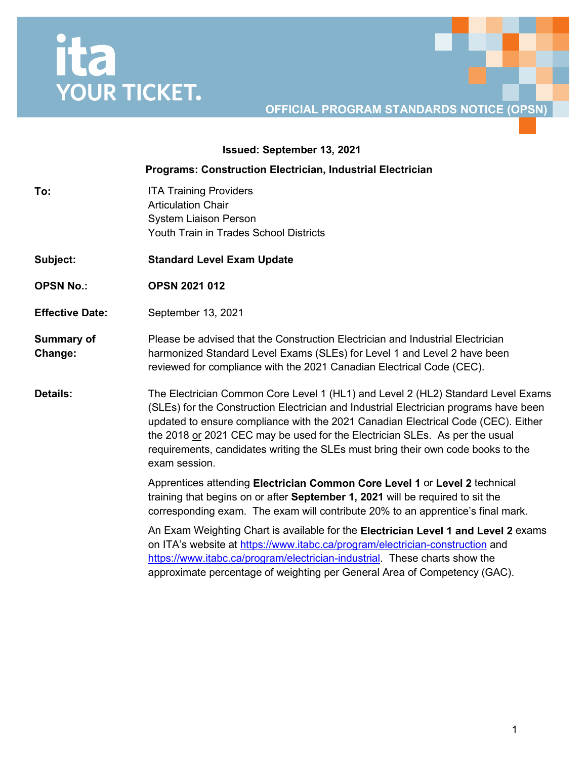# <u>ita</u> **TELL**<br>YOUR TICKET.

#### **OFFICIAL PROGRAM STANDARDS NOTICE (OPSN)**

# **Issued: September 13, 2021 Programs: Construction Electrician, Industrial Electrician To: ITA Training Providers** Articulation Chair System Liaison Person Youth Train in Trades School Districts **Subject: Standard Level Exam Update OPSN No.: OPSN 2021 012 Effective Date:** September 13, 2021 **Summary of Change:** Please be advised that the Construction Electrician and Industrial Electrician harmonized Standard Level Exams (SLEs) for Level 1 and Level 2 have been reviewed for compliance with the 2021 Canadian Electrical Code (CEC). **Details:** The Electrician Common Core Level 1 (HL1) and Level 2 (HL2) Standard Level Exams (SLEs) for the Construction Electrician and Industrial Electrician programs have been updated to ensure compliance with the 2021 Canadian Electrical Code (CEC). Either the 2018 or 2021 CEC may be used for the Electrician SLEs. As per the usual requirements, candidates writing the SLEs must bring their own code books to the exam session. Apprentices attending **Electrician Common Core Level 1** or **Level 2** technical training that begins on or after **September 1, 2021** will be required to sit the corresponding exam. The exam will contribute 20% to an apprentice's final mark. An Exam Weighting Chart is available for the **Electrician Level 1 and Level 2** exams on ITA's website at<https://www.itabc.ca/program/electrician-construction> and [https://www.itabc.ca/program/electrician-industrial.](https://www.itabc.ca/program/electrician-industrial) These charts show the approximate percentage of weighting per General Area of Competency (GAC).